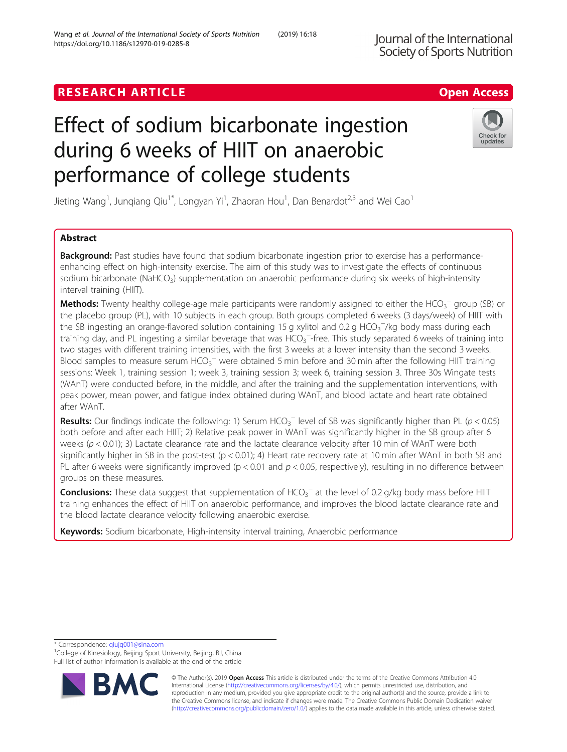# **RESEARCH ARTICLE Example 2018 12:30 The Contract of Contract ACCESS**

# Effect of sodium bicarbonate ingestion during 6 weeks of HIIT on anaerobic performance of college students

Jieting Wang<sup>1</sup>, Junqiang Qiu<sup>1\*</sup>, Longyan Yi<sup>1</sup>, Zhaoran Hou<sup>1</sup>, Dan Benardot<sup>2,3</sup> and Wei Cao<sup>1</sup>

# Abstract

**Background:** Past studies have found that sodium bicarbonate ingestion prior to exercise has a performanceenhancing effect on high-intensity exercise. The aim of this study was to investigate the effects of continuous sodium bicarbonate (NaHCO<sub>3</sub>) supplementation on anaerobic performance during six weeks of high-intensity interval training (HIIT).

Methods: Twenty healthy college-age male participants were randomly assigned to either the HCO<sub>3</sub><sup>-</sup> group (SB) or the placebo group (PL), with 10 subjects in each group. Both groups completed 6 weeks (3 days/week) of HIIT with the SB ingesting an orange-flavored solution containing 15 g xylitol and 0.2 g HCO<sub>3</sub><sup>-</sup>/kg body mass during each training day, and PL ingesting a similar beverage that was  $\overline{HCO_3}^-$ -free. This study separated 6 weeks of training into two stages with different training intensities, with the first 3 weeks at a lower intensity than the second 3 weeks. Blood samples to measure serum HCO<sub>3</sub><sup>-</sup> were obtained 5 min before and 30 min after the following HIIT training sessions: Week 1, training session 1; week 3, training session 3; week 6, training session 3. Three 30s Wingate tests (WAnT) were conducted before, in the middle, and after the training and the supplementation interventions, with peak power, mean power, and fatigue index obtained during WAnT, and blood lactate and heart rate obtained after WAnT.

Results: Our findings indicate the following: 1) Serum HCO<sub>3</sub><sup>-</sup> level of SB was significantly higher than PL (p < 0.05) both before and after each HIIT; 2) Relative peak power in WAnT was significantly higher in the SB group after 6 weeks ( $p < 0.01$ ); 3) Lactate clearance rate and the lactate clearance velocity after 10 min of WAnT were both significantly higher in SB in the post-test ( $p < 0.01$ ); 4) Heart rate recovery rate at 10 min after WAnT in both SB and PL after 6 weeks were significantly improved ( $p < 0.01$  and  $p < 0.05$ , respectively), resulting in no difference between groups on these measures.

Conclusions: These data suggest that supplementation of HCO<sub>3</sub><sup>-</sup> at the level of 0.2 g/kg body mass before HIIT training enhances the effect of HIIT on anaerobic performance, and improves the blood lactate clearance rate and the blood lactate clearance velocity following anaerobic exercise.

Keywords: Sodium bicarbonate, High-intensity interval training, Anaerobic performance

\* Correspondence: [qiujq001@sina.com](mailto:qiujq001@sina.com) <sup>1</sup>

<sup>1</sup>College of Kinesiology, Beijing Sport University, Beijing, BJ, China Full list of author information is available at the end of the article





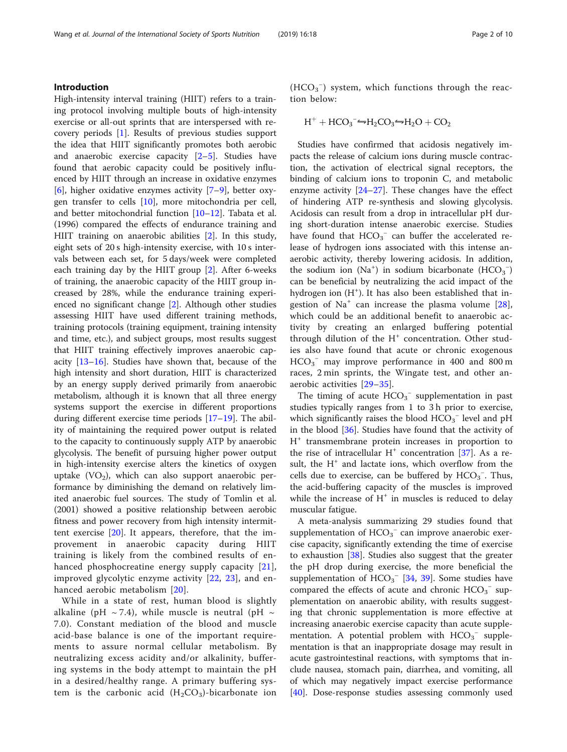## Introduction

High-intensity interval training (HIIT) refers to a training protocol involving multiple bouts of high-intensity exercise or all-out sprints that are interspersed with recovery periods [[1\]](#page-8-0). Results of previous studies support the idea that HIIT significantly promotes both aerobic and anaerobic exercise capacity  $[2-5]$  $[2-5]$  $[2-5]$  $[2-5]$  $[2-5]$ . Studies have found that aerobic capacity could be positively influenced by HIIT through an increase in oxidative enzymes [[6\]](#page-8-0), higher oxidative enzymes activity [[7](#page-8-0)–[9\]](#page-8-0), better oxygen transfer to cells [[10](#page-8-0)], more mitochondria per cell, and better mitochondrial function [\[10](#page-8-0)–[12\]](#page-8-0). Tabata et al. (1996) compared the effects of endurance training and HIIT training on anaerobic abilities [\[2\]](#page-8-0). In this study, eight sets of 20 s high-intensity exercise, with 10 s intervals between each set, for 5 days/week were completed each training day by the HIIT group [\[2](#page-8-0)]. After 6-weeks of training, the anaerobic capacity of the HIIT group increased by 28%, while the endurance training experienced no significant change [\[2](#page-8-0)]. Although other studies assessing HIIT have used different training methods, training protocols (training equipment, training intensity and time, etc.), and subject groups, most results suggest that HIIT training effectively improves anaerobic capacity [\[13](#page-8-0)–[16\]](#page-8-0). Studies have shown that, because of the high intensity and short duration, HIIT is characterized by an energy supply derived primarily from anaerobic metabolism, although it is known that all three energy systems support the exercise in different proportions during different exercise time periods [[17](#page-8-0)–[19](#page-8-0)]. The ability of maintaining the required power output is related to the capacity to continuously supply ATP by anaerobic glycolysis. The benefit of pursuing higher power output in high-intensity exercise alters the kinetics of oxygen uptake  $(VO<sub>2</sub>)$ , which can also support anaerobic performance by diminishing the demand on relatively limited anaerobic fuel sources. The study of Tomlin et al. (2001) showed a positive relationship between aerobic fitness and power recovery from high intensity intermittent exercise [[20\]](#page-8-0). It appears, therefore, that the improvement in anaerobic capacity during HIIT training is likely from the combined results of enhanced phosphocreatine energy supply capacity [[21](#page-8-0)], improved glycolytic enzyme activity  $[22, 23]$  $[22, 23]$  $[22, 23]$  $[22, 23]$ , and enhanced aerobic metabolism [\[20\]](#page-8-0).

While in a state of rest, human blood is slightly alkaline (pH  $\sim$  7.4), while muscle is neutral (pH  $\sim$ 7.0). Constant mediation of the blood and muscle acid-base balance is one of the important requirements to assure normal cellular metabolism. By neutralizing excess acidity and/or alkalinity, buffering systems in the body attempt to maintain the pH in a desired/healthy range. A primary buffering system is the carbonic acid  $(H_2CO_3)$ -bicarbonate ion

 $(HCO<sub>3</sub><sup>-</sup>)$  system, which functions through the reaction below:

$$
H^+ + HCO_3^- \rightarrow H_2CO_3 \rightarrow H_2O + CO_2
$$

Studies have confirmed that acidosis negatively impacts the release of calcium ions during muscle contraction, the activation of electrical signal receptors, the binding of calcium ions to troponin C, and metabolic enzyme activity [\[24](#page-8-0)–[27](#page-8-0)]. These changes have the effect of hindering ATP re-synthesis and slowing glycolysis. Acidosis can result from a drop in intracellular pH during short-duration intense anaerobic exercise. Studies have found that  $HCO_3^-$  can buffer the accelerated release of hydrogen ions associated with this intense anaerobic activity, thereby lowering acidosis. In addition, the sodium ion  $(Na^+)$  in sodium bicarbonate  $(HCO_3^-)$ can be beneficial by neutralizing the acid impact of the hydrogen ion (H<sup>+</sup>). It has also been established that ingestion of  $Na<sup>+</sup>$  can increase the plasma volume [\[28](#page-8-0)], which could be an additional benefit to anaerobic activity by creating an enlarged buffering potential through dilution of the  $H^+$  concentration. Other studies also have found that acute or chronic exogenous HCO<sub>3</sub><sup>-</sup> may improve performance in 400 and 800 m races, 2 min sprints, the Wingate test, and other anaerobic activities [[29](#page-8-0)–[35\]](#page-8-0).

The timing of acute  $HCO_3^-$  supplementation in past studies typically ranges from 1 to 3 h prior to exercise, which significantly raises the blood  $HCO_3^-$  level and pH in the blood [[36\]](#page-8-0). Studies have found that the activity of  $H<sup>+</sup>$  transmembrane protein increases in proportion to the rise of intracellular  $H^+$  concentration [[37](#page-8-0)]. As a result, the  $H^+$  and lactate ions, which overflow from the cells due to exercise, can be buffered by  $HCO_3^-$ . Thus, the acid-buffering capacity of the muscles is improved while the increase of  $H^+$  in muscles is reduced to delay muscular fatigue.

A meta-analysis summarizing 29 studies found that supplementation of  $HCO_3^-$  can improve anaerobic exercise capacity, significantly extending the time of exercise to exhaustion [\[38\]](#page-8-0). Studies also suggest that the greater the pH drop during exercise, the more beneficial the supplementation of  $HCO_3^-$  [\[34,](#page-8-0) [39\]](#page-8-0). Some studies have compared the effects of acute and chronic  $HCO_3^-$  supplementation on anaerobic ability, with results suggesting that chronic supplementation is more effective at increasing anaerobic exercise capacity than acute supplementation. A potential problem with  $HCO_3^-$  supplementation is that an inappropriate dosage may result in acute gastrointestinal reactions, with symptoms that include nausea, stomach pain, diarrhea, and vomiting, all of which may negatively impact exercise performance [[40\]](#page-9-0). Dose-response studies assessing commonly used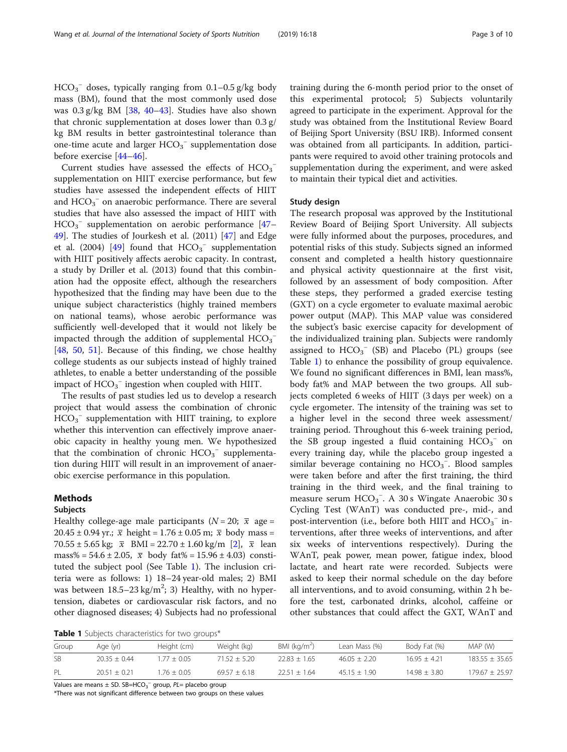<span id="page-2-0"></span> $HCO_3^-$  doses, typically ranging from 0.1–0.5 g/kg body mass (BM), found that the most commonly used dose was  $0.3$  g/kg BM [ $38$ , [40](#page-9-0)–[43](#page-9-0)]. Studies have also shown that chronic supplementation at doses lower than 0.3 g/ kg BM results in better gastrointestinal tolerance than one-time acute and larger  $HCO_3^-$  supplementation dose before exercise [[44](#page-9-0)–[46](#page-9-0)].

Current studies have assessed the effects of  $HCO_3^$ supplementation on HIIT exercise performance, but few studies have assessed the independent effects of HIIT and  $\text{HCO}_3^-$  on anaerobic performance. There are several studies that have also assessed the impact of HIIT with  $HCO<sub>3</sub><sup>-</sup>$  supplementation on aerobic performance [[47](#page-9-0)-[49\]](#page-9-0). The studies of Jourkesh et al. (2011) [\[47](#page-9-0)] and Edge et al. (2004) [\[49](#page-9-0)] found that  $HCO_3^-$  supplementation with HIIT positively affects aerobic capacity. In contrast, a study by Driller et al. (2013) found that this combination had the opposite effect, although the researchers hypothesized that the finding may have been due to the unique subject characteristics (highly trained members on national teams), whose aerobic performance was sufficiently well-developed that it would not likely be impacted through the addition of supplemental  $HCO_3^-$ [[48,](#page-9-0) [50](#page-9-0), [51\]](#page-9-0). Because of this finding, we chose healthy college students as our subjects instead of highly trained athletes, to enable a better understanding of the possible impact of  $\mathrm{HCO_3}^-$  ingestion when coupled with HIIT.

The results of past studies led us to develop a research project that would assess the combination of chronic  $HCO_3^-$  supplementation with HIIT training, to explore whether this intervention can effectively improve anaerobic capacity in healthy young men. We hypothesized that the combination of chronic  $HCO_3^-$  supplementation during HIIT will result in an improvement of anaerobic exercise performance in this population.

## Methods

### Subjects

Healthy college-age male participants ( $N = 20$ ;  $\bar{x}$  age = 20.45 ± 0.94 yr.;  $\bar{x}$  height = 1.76 ± 0.05 m;  $\bar{x}$  body mass = 70.55 ± 5.65 kg;  $\bar{x}$  BMI = 22.70 ± 1.60 kg/m [[2\]](#page-8-0),  $\bar{x}$  lean mass% =  $54.6 \pm 2.05$ ,  $\bar{x}$  body fat% =  $15.96 \pm 4.03$ ) constituted the subject pool (See Table 1). The inclusion criteria were as follows: 1) 18–24 year-old males; 2) BMI was between  $18.5-23 \text{ kg/m}^2$ ; 3) Healthy, with no hypertension, diabetes or cardiovascular risk factors, and no other diagnosed diseases; 4) Subjects had no professional training during the 6-month period prior to the onset of this experimental protocol; 5) Subjects voluntarily agreed to participate in the experiment. Approval for the study was obtained from the Institutional Review Board of Beijing Sport University (BSU IRB). Informed consent was obtained from all participants. In addition, participants were required to avoid other training protocols and supplementation during the experiment, and were asked to maintain their typical diet and activities.

## Study design

The research proposal was approved by the Institutional Review Board of Beijing Sport University. All subjects were fully informed about the purposes, procedures, and potential risks of this study. Subjects signed an informed consent and completed a health history questionnaire and physical activity questionnaire at the first visit, followed by an assessment of body composition. After these steps, they performed a graded exercise testing (GXT) on a cycle ergometer to evaluate maximal aerobic power output (MAP). This MAP value was considered the subject's basic exercise capacity for development of the individualized training plan. Subjects were randomly assigned to  $HCO_3^-$  (SB) and Placebo (PL) groups (see Table 1) to enhance the possibility of group equivalence. We found no significant differences in BMI, lean mass%, body fat% and MAP between the two groups. All subjects completed 6 weeks of HIIT (3 days per week) on a cycle ergometer. The intensity of the training was set to a higher level in the second three week assessment/ training period. Throughout this 6-week training period, the SB group ingested a fluid containing  $HCO_3^-$  on every training day, while the placebo group ingested a similar beverage containing no HCO<sub>3</sub><sup>-</sup>. Blood samples were taken before and after the first training, the third training in the third week, and the final training to measure serum  $HCO<sub>3</sub><sup>-</sup>$ . A 30 s Wingate Anaerobic 30 s Cycling Test (WAnT) was conducted pre-, mid-, and post-intervention (i.e., before both HIIT and  $\mathrm{HCO_3}^-$  interventions, after three weeks of interventions, and after six weeks of interventions respectively). During the WAnT, peak power, mean power, fatigue index, blood lactate, and heart rate were recorded. Subjects were asked to keep their normal schedule on the day before all interventions, and to avoid consuming, within 2 h before the test, carbonated drinks, alcohol, caffeine or other substances that could affect the GXT, WAnT and

Table 1 Subjects characteristics for two groups\*

| Group     | Age (yr)       | Height (cm)   | Weight (kg)    | BMI (kg/m <sup>2</sup> ) | Lean Mass (%)  | Body Fat (%)   | MAP (W)          |
|-----------|----------------|---------------|----------------|--------------------------|----------------|----------------|------------------|
| <b>SB</b> | $20.35 + 0.44$ | $.77 + 0.05$  | $71.52 + 5.20$ | $22.83 + 1.65$           | $46.05 + 2.20$ | $1695 + 421$   | $183.55 + 35.65$ |
|           | $20.51 + 0.21$ | $1.76 + 0.05$ | $69.57 + 6.18$ | $2251 + 164$             | $45.15 + 1.90$ | $14.98 + 3.80$ | $179.67 + 25.97$ |

Values are means  $\pm$  SD. SB=HCO<sub>3</sub><sup>-</sup> group,  $PL=$  placebo group

\*There was not significant difference between two groups on these values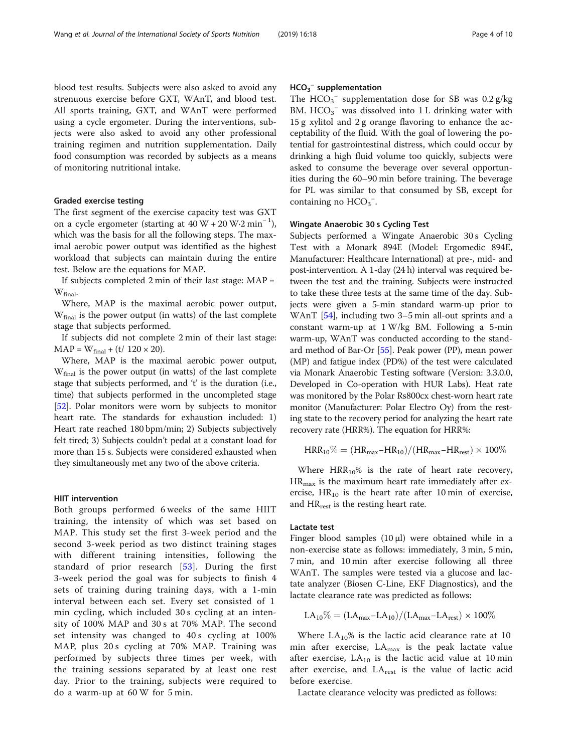blood test results. Subjects were also asked to avoid any strenuous exercise before GXT, WAnT, and blood test. All sports training, GXT, and WAnT were performed using a cycle ergometer. During the interventions, subjects were also asked to avoid any other professional training regimen and nutrition supplementation. Daily food consumption was recorded by subjects as a means of monitoring nutritional intake.

# Graded exercise testing

The first segment of the exercise capacity test was GXT on a cycle ergometer (starting at  $40 \text{ W} + 20 \text{ W} \cdot 2 \text{ min}^{-1}$ ), which was the basis for all the following steps. The maximal aerobic power output was identified as the highest workload that subjects can maintain during the entire test. Below are the equations for MAP.

If subjects completed  $2 \text{ min}$  of their last stage:  $\text{MAP} =$ W<sub>final</sub>.

Where, MAP is the maximal aerobic power output,  $W_{final}$  is the power output (in watts) of the last complete stage that subjects performed.

If subjects did not complete 2 min of their last stage:  $MAP = W_{final} + (t/120 \times 20).$ 

Where, MAP is the maximal aerobic power output, Wfinal is the power output (in watts) of the last complete stage that subjects performed, and 't' is the duration (i.e., time) that subjects performed in the uncompleted stage [[52](#page-9-0)]. Polar monitors were worn by subjects to monitor heart rate. The standards for exhaustion included: 1) Heart rate reached 180 bpm/min; 2) Subjects subjectively felt tired; 3) Subjects couldn't pedal at a constant load for more than 15 s. Subjects were considered exhausted when they simultaneously met any two of the above criteria.

#### HIIT intervention

Both groups performed 6 weeks of the same HIIT training, the intensity of which was set based on MAP. This study set the first 3-week period and the second 3-week period as two distinct training stages with different training intensities, following the standard of prior research [[53](#page-9-0)]. During the first 3-week period the goal was for subjects to finish 4 sets of training during training days, with a 1-min interval between each set. Every set consisted of 1 min cycling, which included 30 s cycling at an intensity of 100% MAP and 30 s at 70% MAP. The second set intensity was changed to 40 s cycling at 100% MAP, plus 20 s cycling at 70% MAP. Training was performed by subjects three times per week, with the training sessions separated by at least one rest day. Prior to the training, subjects were required to do a warm-up at 60 W for 5 min.

# $HCO<sub>3</sub><sup>-</sup>$  supplementation

The  $HCO_3^-$  supplementation dose for SB was 0.2 g/kg BM.  $HCO_3^-$  was dissolved into 1 L drinking water with 15 g xylitol and 2 g orange flavoring to enhance the acceptability of the fluid. With the goal of lowering the potential for gastrointestinal distress, which could occur by drinking a high fluid volume too quickly, subjects were asked to consume the beverage over several opportunities during the 60–90 min before training. The beverage for PL was similar to that consumed by SB, except for containing no  $HCO_3^-$ .

## Wingate Anaerobic 30 s Cycling Test

Subjects performed a Wingate Anaerobic 30 s Cycling Test with a Monark 894E (Model: Ergomedic 894E, Manufacturer: Healthcare International) at pre-, mid- and post-intervention. A 1-day (24 h) interval was required between the test and the training. Subjects were instructed to take these three tests at the same time of the day. Subjects were given a 5-min standard warm-up prior to WAnT [\[54\]](#page-9-0), including two 3–5 min all-out sprints and a constant warm-up at 1 W/kg BM. Following a 5-min warm-up, WAnT was conducted according to the standard method of Bar-Or [\[55](#page-9-0)]. Peak power (PP), mean power (MP) and fatigue index (PD%) of the test were calculated via Monark Anaerobic Testing software (Version: 3.3.0.0, Developed in Co-operation with HUR Labs). Heat rate was monitored by the Polar Rs800cx chest-worn heart rate monitor (Manufacturer: Polar Electro Oy) from the resting state to the recovery period for analyzing the heart rate recovery rate (HRR%). The equation for HRR%:

$$
HRR_{10}\% = (HR_{max}-HR_{10})/(HR_{max}-HR_{rest}) \times 100\%
$$

Where  $HRR_{10}\%$  is the rate of heart rate recovery,  $HR_{\text{max}}$  is the maximum heart rate immediately after exercise,  $HR_{10}$  is the heart rate after 10 min of exercise, and HR<sub>rest</sub> is the resting heart rate.

#### Lactate test

Finger blood samples  $(10 \mu l)$  were obtained while in a non-exercise state as follows: immediately, 3 min, 5 min, 7 min, and 10 min after exercise following all three WAnT. The samples were tested via a glucose and lactate analyzer (Biosen C-Line, EKF Diagnostics), and the lactate clearance rate was predicted as follows:

$$
LA_{10}\% = (LA_{max} - LA_{10})/(LA_{max} - LA_{rest}) \times 100\%
$$

Where  $LA_{10}$ % is the lactic acid clearance rate at 10 min after exercise,  $LA_{max}$  is the peak lactate value after exercise,  $LA_{10}$  is the lactic acid value at 10 min after exercise, and  $LA_{rest}$  is the value of lactic acid before exercise.

Lactate clearance velocity was predicted as follows: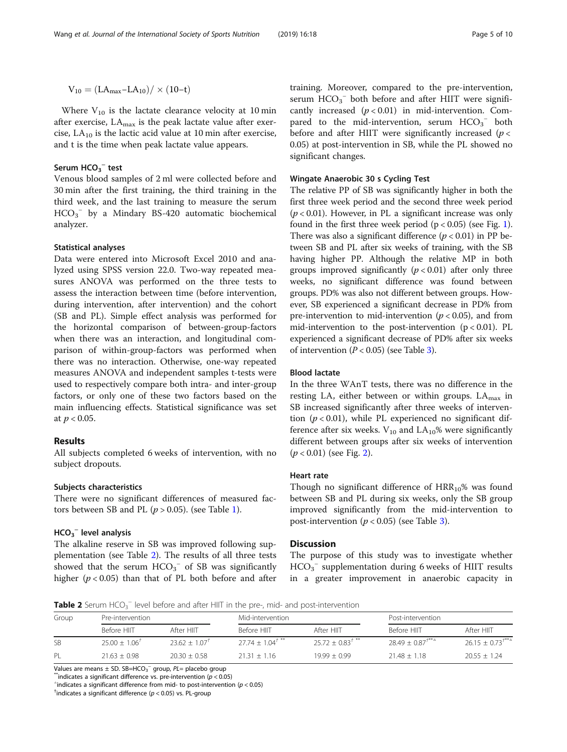$$
V_{10} = (LA_{max}\text{-}LA_{10})/\times (10\text{-}t)
$$

Where  $V_{10}$  is the lactate clearance velocity at 10 min after exercise,  $LA_{max}$  is the peak lactate value after exercise,  $LA_{10}$  is the lactic acid value at 10 min after exercise, and t is the time when peak lactate value appears.

# Serum  $HCO_3^-$  test

Venous blood samples of 2 ml were collected before and 30 min after the first training, the third training in the third week, and the last training to measure the serum  $HCO_3^-$  by a Mindary BS-420 automatic biochemical analyzer.

#### Statistical analyses

Data were entered into Microsoft Excel 2010 and analyzed using SPSS version 22.0. Two-way repeated measures ANOVA was performed on the three tests to assess the interaction between time (before intervention, during intervention, after intervention) and the cohort (SB and PL). Simple effect analysis was performed for the horizontal comparison of between-group-factors when there was an interaction, and longitudinal comparison of within-group-factors was performed when there was no interaction. Otherwise, one-way repeated measures ANOVA and independent samples t-tests were used to respectively compare both intra- and inter-group factors, or only one of these two factors based on the main influencing effects. Statistical significance was set at  $p < 0.05$ .

#### Results

All subjects completed 6 weeks of intervention, with no subject dropouts.

## Subjects characteristics

There were no significant differences of measured factors between SB and PL ( $p > 0.05$ ). (see Table [1\)](#page-2-0).

# $HCO_3^-$  level analysis

The alkaline reserve in SB was improved following supplementation (see Table 2). The results of all three tests showed that the serum  $HCO_3^-$  of SB was significantly higher ( $p < 0.05$ ) than that of PL both before and after

training. Moreover, compared to the pre-intervention, serum  $HCO_3^-$  both before and after HIIT were significantly increased  $(p < 0.01)$  in mid-intervention. Compared to the mid-intervention, serum  $HCO_3^-$  both before and after HIIT were significantly increased ( $p <$ 0.05) at post-intervention in SB, while the PL showed no significant changes.

## Wingate Anaerobic 30 s Cycling Test

The relative PP of SB was significantly higher in both the first three week period and the second three week period  $(p < 0.01)$ . However, in PL a significant increase was only found in the first three week period  $(p < 0.05)$  (see Fig. [1](#page-5-0)). There was also a significant difference ( $p < 0.01$ ) in PP between SB and PL after six weeks of training, with the SB having higher PP. Although the relative MP in both groups improved significantly  $(p < 0.01)$  after only three weeks, no significant difference was found between groups. PD% was also not different between groups. However, SB experienced a significant decrease in PD% from pre-intervention to mid-intervention ( $p < 0.05$ ), and from mid-intervention to the post-intervention  $(p < 0.01)$ . PL experienced a significant decrease of PD% after six weeks of intervention  $(P < 0.05)$  (see Table [3](#page-5-0)).

#### Blood lactate

In the three WAnT tests, there was no difference in the resting LA, either between or within groups.  $LA_{max}$  in SB increased significantly after three weeks of intervention ( $p < 0.01$ ), while PL experienced no significant difference after six weeks.  $V_{10}$  and  $LA_{10}$ % were significantly different between groups after six weeks of intervention  $(p < 0.01)$  (see Fig. [2](#page-6-0)).

## Heart rate

Though no significant difference of  $HRR_{10}\%$  was found between SB and PL during six weeks, only the SB group improved significantly from the mid-intervention to post-intervention ( $p < 0.05$ ) (see Table [3](#page-5-0)).

# **Discussion**

The purpose of this study was to investigate whether  $HCO<sub>3</sub><sup>-</sup>$  supplementation during 6 weeks of HIIT results in a greater improvement in anaerobic capacity in

Table 2 Serum HCO<sub>3</sub><sup>-</sup> level before and after HIIT in the pre-, mid- and post-intervention

| Group     | Pre-intervention         |                | Mid-intervention         |                        | Post-intervention   |                  |
|-----------|--------------------------|----------------|--------------------------|------------------------|---------------------|------------------|
|           | Before HIIT              | After HIIT     | Before HIIT              | After HIIT             | <b>Before HIIT</b>  | After HIIT       |
| <b>SB</b> | $25.00 + 1.06^{\dagger}$ | $2362 + 107$   | $27.74 + 1.04^{\dagger}$ | $2572 + 0.83^{+ \ast}$ | $2849 + 0.87^{***}$ | $2615 + 073^{+}$ |
| PL        | $21.63 + 0.98$           | $20.30 + 0.58$ | $21.31 + 1.16$           | $19.99 + 0.99$         | $21.48 + 1.18$      | $20.55 + 1.24$   |

Values are means  $\pm$  SD. SB=HCO<sub>3</sub><sup>-</sup> group, PL= placebo group<br><sup>\*\*</sup>indicates a significant difference vs. pre-intervention (p < 0.05)<br><sup>^\*</sup>indicates a significant difference from mid, to post intervention

 $\hat{p}$  indicates a significant difference from mid- to post-intervention ( $p < 0.05$ )

 $\dagger$ indicates a significant difference ( $p < 0.05$ ) vs. PL-group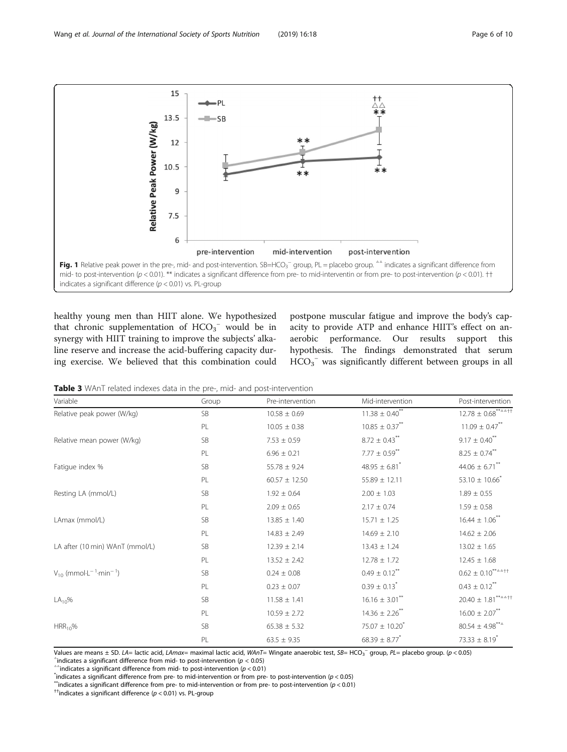<span id="page-5-0"></span>

healthy young men than HIIT alone. We hypothesized that chronic supplementation of  $HCO_3^-$  would be in synergy with HIIT training to improve the subjects' alkaline reserve and increase the acid-buffering capacity during exercise. We believed that this combination could

postpone muscular fatigue and improve the body's capacity to provide ATP and enhance HIIT's effect on anaerobic performance. Our results support this hypothesis. The findings demonstrated that serum  $HCO<sub>3</sub><sup>-</sup>$  was significantly different between groups in all

Table 3 WAnT related indexes data in the pre-, mid- and post-intervention

| Variable                                     | Group     | Pre-intervention  | Mid-intervention               | Post-intervention                                                    |
|----------------------------------------------|-----------|-------------------|--------------------------------|----------------------------------------------------------------------|
| Relative peak power (W/kg)                   | <b>SB</b> | $10.58 \pm 0.69$  | $11.38 \pm 0.40$ <sup>**</sup> | $12.78 \pm 0.68***^{\ast\ast\alpha\Delta\uparrow\uparrow}$           |
|                                              | PL        | $10.05 \pm 0.38$  | $10.85 \pm 0.37$ **            | $11.09 \pm 0.47$ **                                                  |
| Relative mean power (W/kg)                   | <b>SB</b> | $7.53 \pm 0.59$   | $8.72 \pm 0.43$ <sup>**</sup>  | $9.17 \pm 0.40$ <sup>**</sup>                                        |
|                                              | PL        | $6.96 \pm 0.21$   | $7.77 \pm 0.59$ **             | $8.25 \pm 0.74$ <sup>**</sup>                                        |
| Fatique index %                              | <b>SB</b> | $55.78 \pm 9.24$  | 48.95 $\pm$ 6.81 <sup>*</sup>  | 44.06 $\pm$ 6.71**                                                   |
|                                              | PL        | $60.57 \pm 12.50$ | $55.89 \pm 12.11$              | 53.10 $\pm$ 10.66 <sup>*</sup>                                       |
| Resting LA (mmol/L)                          | <b>SB</b> | $1.92 \pm 0.64$   | $2.00 \pm 1.03$                | $1.89 \pm 0.55$                                                      |
|                                              | PL        | $2.09 \pm 0.65$   | $2.17 \pm 0.74$                | $1.59 \pm 0.58$                                                      |
| LAmax (mmol/L)                               | <b>SB</b> | $13.85 \pm 1.40$  | $15.71 \pm 1.25$               | $16.44 \pm 1.06$ **                                                  |
|                                              | PL        | $14.83 \pm 2.49$  | $14.69 \pm 2.10$               | $14.62 \pm 2.06$                                                     |
| LA after (10 min) WAnT (mmol/L)              | <b>SB</b> | $12.39 \pm 2.14$  | $13.43 \pm 1.24$               | $13.02 \pm 1.65$                                                     |
|                                              | PL        | $13.52 \pm 2.42$  | $12.78 \pm 1.72$               | $12.45 \pm 1.68$                                                     |
| $V_{10}$ (mmol $E^{-1}$ -min <sup>-1</sup> ) | <b>SB</b> | $0.24 \pm 0.08$   | $0.49 \pm 0.12$ <sup>**</sup>  | $0.62 \pm 0.10^{***}$                                                |
|                                              | PL        | $0.23 \pm 0.07$   | $0.39 \pm 0.13$ <sup>*</sup>   | $0.43 \pm 0.12$ <sup>**</sup>                                        |
| $LA_{10}\%$                                  | SB        | $11.58 \pm 1.41$  | $16.16 \pm 3.01$ **            | $20.40\pm\,1.81^{***\scriptscriptstyle\Delta\Delta\uparrow\uparrow}$ |
|                                              | PL        | $10.59 \pm 2.72$  | $14.36 \pm 2.26$ **            | $16.00 \pm 2.07$ <sup>**</sup>                                       |
| $HRR_{10}\%$                                 | SB        | $65.38 \pm 5.32$  | $75.07 \pm 10.20^*$            | $80.54 \pm 4.98***$                                                  |
|                                              | PL        | $63.5 \pm 9.35$   | $68.39 \pm 8.77$               | 73.33 $\pm$ 8.19 <sup>*</sup>                                        |

Values are means ± SD. LA= lactic acid, LAmax= maximal lactic acid, WAnT= Wingate anaerobic test, SB= HCO<sub>3</sub><sup>-</sup> group, PL= placebo group. (p < 0.05)<br><sup>^</sup>indicates a significant difference from mid, to post intensation (p <

 $\textdegree$ indicates a significant difference from mid- to post-intervention (p < 0.05)<br> $\textdegree$  indicates a significant difference from mid- to post-intervention (p < 0.01)<br> $\textdegree$  indicates a significant difference from pre- to mi

"indicates a significant difference from pre- to mid-intervention or from pre- to post-intervention ( $p < 0.01$ )<br><sup>+†</sup>indicates a significant difference ( $p < 0.01$ ) vs. PL-group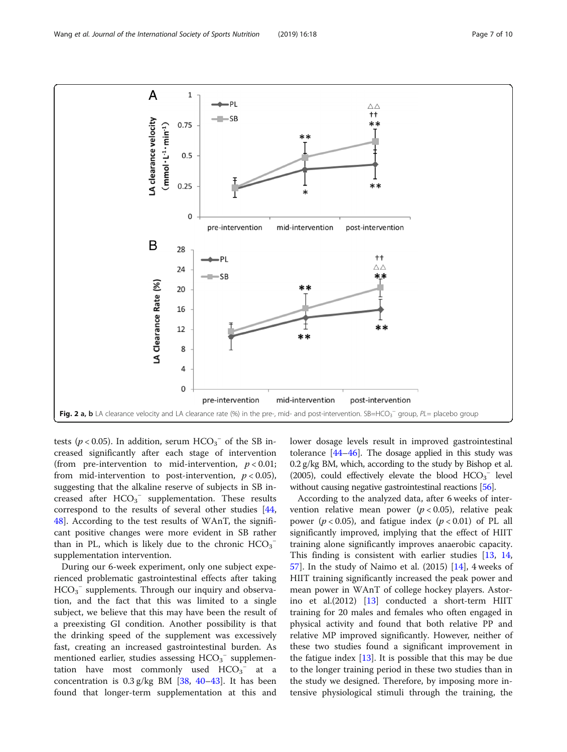<span id="page-6-0"></span>

tests ( $p < 0.05$ ). In addition, serum  $HCO_3^-$  of the SB increased significantly after each stage of intervention (from pre-intervention to mid-intervention,  $p < 0.01$ ; from mid-intervention to post-intervention,  $p < 0.05$ ), suggesting that the alkaline reserve of subjects in SB increased after  $HCO_3^-$  supplementation. These results correspond to the results of several other studies [[44](#page-9-0), [48\]](#page-9-0). According to the test results of WAnT, the significant positive changes were more evident in SB rather than in PL, which is likely due to the chronic  $HCO_3^$ supplementation intervention.

During our 6-week experiment, only one subject experienced problematic gastrointestinal effects after taking  $HCO_3^-$  supplements. Through our inquiry and observation, and the fact that this was limited to a single subject, we believe that this may have been the result of a preexisting GI condition. Another possibility is that the drinking speed of the supplement was excessively fast, creating an increased gastrointestinal burden. As mentioned earlier, studies assessing  $HCO_3^-$  supplementation have most commonly used  $HCO_3^-$  at a concentration is  $0.3$  g/kg BM [[38,](#page-8-0) [40](#page-9-0)–[43](#page-9-0)]. It has been found that longer-term supplementation at this and lower dosage levels result in improved gastrointestinal tolerance  $[44-46]$  $[44-46]$  $[44-46]$  $[44-46]$ . The dosage applied in this study was 0.2 g/kg BM, which, according to the study by Bishop et al. (2005), could effectively elevate the blood  $HCO_3$ <sup>-</sup> level without causing negative gastrointestinal reactions [\[56](#page-9-0)].

According to the analyzed data, after 6 weeks of intervention relative mean power  $(p < 0.05)$ , relative peak power ( $p < 0.05$ ), and fatigue index ( $p < 0.01$ ) of PL all significantly improved, implying that the effect of HIIT training alone significantly improves anaerobic capacity. This finding is consistent with earlier studies [[13](#page-8-0), [14](#page-8-0),  $57$ ]. In the study of Naimo et al. (2015) [[14\]](#page-8-0), 4 weeks of HIIT training significantly increased the peak power and mean power in WAnT of college hockey players. Astorino et al.(2012) [\[13\]](#page-8-0) conducted a short-term HIIT training for 20 males and females who often engaged in physical activity and found that both relative PP and relative MP improved significantly. However, neither of these two studies found a significant improvement in the fatigue index  $[13]$ . It is possible that this may be due to the longer training period in these two studies than in the study we designed. Therefore, by imposing more intensive physiological stimuli through the training, the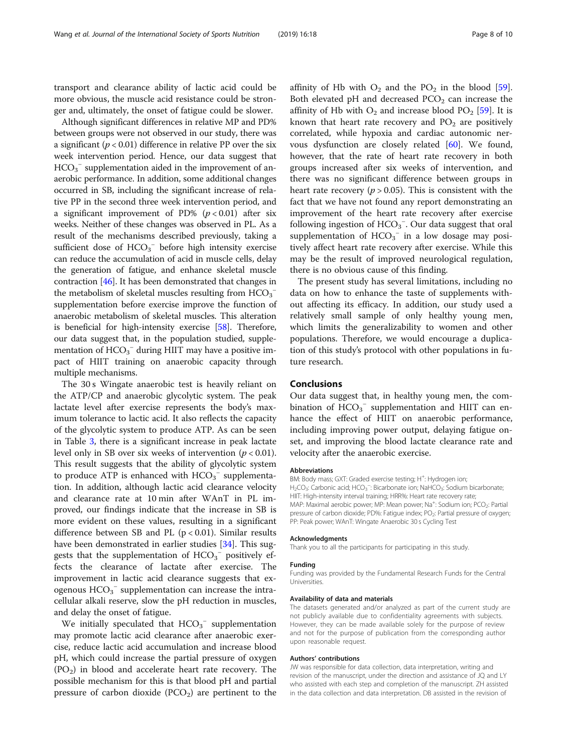transport and clearance ability of lactic acid could be more obvious, the muscle acid resistance could be stronger and, ultimately, the onset of fatigue could be slower.

Although significant differences in relative MP and PD% between groups were not observed in our study, there was a significant ( $p < 0.01$ ) difference in relative PP over the six week intervention period. Hence, our data suggest that  $HCO<sub>3</sub><sup>-</sup>$  supplementation aided in the improvement of anaerobic performance. In addition, some additional changes occurred in SB, including the significant increase of relative PP in the second three week intervention period, and a significant improvement of PD% ( $p < 0.01$ ) after six weeks. Neither of these changes was observed in PL. As a result of the mechanisms described previously, taking a sufficient dose of  $HCO_3^-$  before high intensity exercise can reduce the accumulation of acid in muscle cells, delay the generation of fatigue, and enhance skeletal muscle contraction [\[46\]](#page-9-0). It has been demonstrated that changes in the metabolism of skeletal muscles resulting from  $\text{HCO}_3^$ supplementation before exercise improve the function of anaerobic metabolism of skeletal muscles. This alteration is beneficial for high-intensity exercise [[58](#page-9-0)]. Therefore, our data suggest that, in the population studied, supplementation of  $HCO_3^-$  during HIIT may have a positive impact of HIIT training on anaerobic capacity through multiple mechanisms.

The 30 s Wingate anaerobic test is heavily reliant on the ATP/CP and anaerobic glycolytic system. The peak lactate level after exercise represents the body's maximum tolerance to lactic acid. It also reflects the capacity of the glycolytic system to produce ATP. As can be seen in Table [3,](#page-5-0) there is a significant increase in peak lactate level only in SB over six weeks of intervention ( $p < 0.01$ ). This result suggests that the ability of glycolytic system to produce ATP is enhanced with  $HCO_3^-$  supplementation. In addition, although lactic acid clearance velocity and clearance rate at 10 min after WAnT in PL improved, our findings indicate that the increase in SB is more evident on these values, resulting in a significant difference between SB and PL  $(p < 0.01)$ . Similar results have been demonstrated in earlier studies [[34\]](#page-8-0). This suggests that the supplementation of  $HCO_3^-$  positively effects the clearance of lactate after exercise. The improvement in lactic acid clearance suggests that exogenous  $HCO_3^-$  supplementation can increase the intracellular alkali reserve, slow the pH reduction in muscles, and delay the onset of fatigue.

We initially speculated that  $HCO_3^-$  supplementation may promote lactic acid clearance after anaerobic exercise, reduce lactic acid accumulation and increase blood pH, which could increase the partial pressure of oxygen  $(PO<sub>2</sub>)$  in blood and accelerate heart rate recovery. The possible mechanism for this is that blood pH and partial pressure of carbon dioxide  $(PCO<sub>2</sub>)$  are pertinent to the affinity of Hb with  $O_2$  and the P $O_2$  in the blood [\[59](#page-9-0)]. Both elevated pH and decreased  $PCO<sub>2</sub>$  can increase the affinity of Hb with  $O_2$  and increase blood  $PO_2$  [[59\]](#page-9-0). It is known that heart rate recovery and  $PO<sub>2</sub>$  are positively correlated, while hypoxia and cardiac autonomic nervous dysfunction are closely related [\[60](#page-9-0)]. We found, however, that the rate of heart rate recovery in both groups increased after six weeks of intervention, and there was no significant difference between groups in heart rate recovery ( $p > 0.05$ ). This is consistent with the fact that we have not found any report demonstrating an improvement of the heart rate recovery after exercise following ingestion of  $HCO_3^-$ . Our data suggest that oral supplementation of  $HCO_3^-$  in a low dosage may positively affect heart rate recovery after exercise. While this may be the result of improved neurological regulation, there is no obvious cause of this finding.

The present study has several limitations, including no data on how to enhance the taste of supplements without affecting its efficacy. In addition, our study used a relatively small sample of only healthy young men, which limits the generalizability to women and other populations. Therefore, we would encourage a duplication of this study's protocol with other populations in future research.

# Conclusions

Our data suggest that, in healthy young men, the combination of  $HCO<sub>3</sub><sup>-</sup>$  supplementation and HIIT can enhance the effect of HIIT on anaerobic performance, including improving power output, delaying fatigue onset, and improving the blood lactate clearance rate and velocity after the anaerobic exercise.

#### Abbreviations

BM: Body mass; GXT: Graded exercise testing; H<sup>+</sup>: Hydrogen ion; H<sub>2</sub>CO<sub>3</sub>: Carbonic acid; HCO<sub>3</sub><sup>-</sup>: Bicarbonate ion; NaHCO<sub>3</sub>: Sodium bicarbonate HIIT: High-intensity interval training; HRR%: Heart rate recovery rate; MAP: Maximal aerobic power; MP: Mean power; Na<sup>+</sup>: Sodium ion; PCO<sub>2</sub>: Partial pressure of carbon dioxide; PD%: Fatigue index; PO<sub>2</sub>: Partial pressure of oxygen; PP: Peak power; WAnT: Wingate Anaerobic 30 s Cycling Test

#### Acknowledgments

Thank you to all the participants for participating in this study.

#### Funding

Funding was provided by the Fundamental Research Funds for the Central Universities.

#### Availability of data and materials

The datasets generated and/or analyzed as part of the current study are not publicly available due to confidentiality agreements with subjects. However, they can be made available solely for the purpose of review and not for the purpose of publication from the corresponding author upon reasonable request.

#### Authors' contributions

JW was responsible for data collection, data interpretation, writing and revision of the manuscript, under the direction and assistance of JQ and LY who assisted with each step and completion of the manuscript. ZH assisted in the data collection and data interpretation. DB assisted in the revision of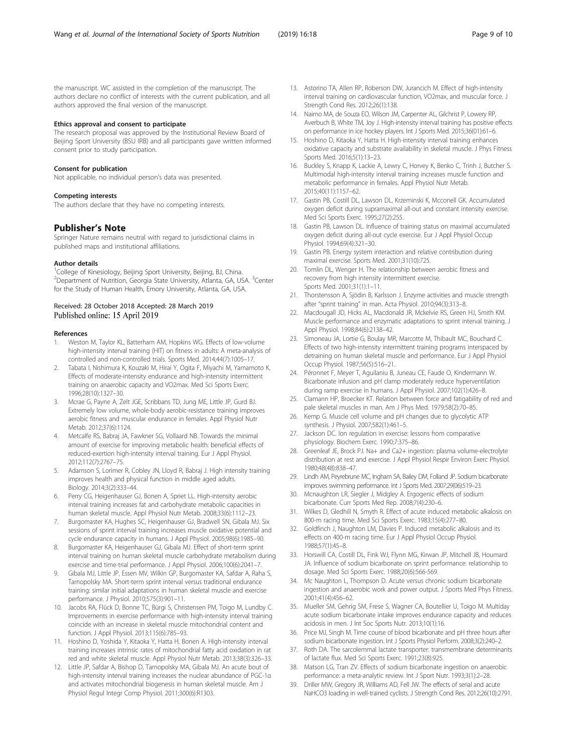<span id="page-8-0"></span>the manuscript. WC assisted in the completion of the manuscript. The authors declare no conflict of interests with the current publication, and all authors approved the final version of the manuscript.

#### Ethics approval and consent to participate

The research proposal was approved by the Institutional Review Board of Beijing Sport University (BSU IRB) and all participants gave written informed consent prior to study participation.

#### Consent for publication

Not applicable, no individual person's data was presented.

## Competing interests

The authors declare that they have no competing interests.

## Publisher's Note

Springer Nature remains neutral with regard to jurisdictional claims in published maps and institutional affiliations.

## Author details

<sup>1</sup>College of Kinesiology, Beijing Sport University, Beijing, BJ, China. <sup>2</sup>Department of Nutrition, Georgia State University, Atlanta, GA, USA. <sup>3</sup>Center for the Study of Human Health, Emory University, Atlanta, GA, USA.

#### Received: 28 October 2018 Accepted: 28 March 2019 Published online: 15 April 2019

#### References

- 1. Weston M, Taylor KL, Batterham AM, Hopkins WG. Effects of low-volume high-intensity interval training (HIT) on fitness in adults: A meta-analysis of controlled and non-controlled trials. Sports Med. 2014;44(7):1005–17.
- 2. Tabata I, Nishimura K, Kouzaki M, Hirai Y, Ogita F, Miyachi M, Yamamoto K. Effects of moderate-intensity endurance and high-intensity intermittent training on anaerobic capacity and VO2max. Med Sci Sports Exerc. 1996;28(10):1327–30.
- 3. Mcrae G, Payne A, Zelt JGE, Scribbans TD, Jung ME, Little JP, Gurd BJ. Extremely low volume, whole-body aerobic-resistance training improves aerobic fitness and muscular endurance in females. Appl Physiol Nutr Metab. 2012;37(6):1124.
- 4. Metcalfe RS, Babraj JA, Fawkner SG, Vollaard NB. Towards the minimal amount of exercise for improving metabolic health: beneficial effects of reduced-exertion high-intensity interval training. Eur J Appl Physiol. 2012;112(7):2767–75.
- 5. Adamson S, Lorimer R, Cobley JN, Lloyd R, Babraj J. High intensity training improves health and physical function in middle aged adults. Biology. 2014;3(2):333–44.
- Perry CG, Heigenhauser GJ, Bonen A, Spriet LL. High-intensity aerobic interval training increases fat and carbohydrate metabolic capacities in human skeletal muscle. Appl Physiol Nutr Metab. 2008;33(6):1112–23.
- 7. Burgomaster KA, Hughes SC, Heigenhauser GJ, Bradwell SN, Gibala MJ. Six sessions of sprint interval training increases muscle oxidative potential and cycle endurance capacity in humans. J Appl Physiol. 2005;98(6):1985–90.
- 8. Burgomaster KA, Heigenhauser GJ, Gibala MJ. Effect of short-term sprint interval training on human skeletal muscle carbohydrate metabolism during exercise and time-trial performance. J Appl Physiol. 2006;100(6):2041–7.
- 9. Gibala MJ, Little JP, Essen MV, Wilkin GP, Burgomaster KA, Safdar A, Raha S, Tarnopolsky MA. Short-term sprint interval versus traditional endurance training: similar initial adaptations in human skeletal muscle and exercise performance. J Physiol. 2010;575(3):901–11.
- 10. Jacobs RA, Flück D, Bonne TC, Bürgi S, Christensen PM, Toigo M, Lundby C. Improvements in exercise performance with high-intensity interval training coincide with an increase in skeletal muscle mitochondrial content and function. J Appl Physiol. 2013;115(6):785–93.
- 11. Hoshino D, Yoshida Y, Kitaoka Y, Hatta H, Bonen A. High-intensity interval training increases intrinsic rates of mitochondrial fatty acid oxidation in rat red and white skeletal muscle. Appl Physiol Nutr Metab. 2013;38(3):326–33.
- 12. Little JP, Safdar A, Bishop D, Tarnopolsky MA, Gibala MJ. An acute bout of high-intensity interval training increases the nuclear abundance of PGC-1α and activates mitochondrial biogenesis in human skeletal muscle. Am J Physiol Regul Integr Comp Physiol. 2011;300(6):R1303.
- 13. Astorino TA, Allen RP, Roberson DW, Jurancich M. Effect of high-intensity interval training on cardiovascular function, VO2max, and muscular force. J Strength Cond Res. 2012;26(1):138.
- 14. Naimo MA, de Souza EO, Wilson JM, Carpenter AL, Gilchrist P, Lowery RP, Averbuch B, White TM, Joy J. High-intensity interval training has positive effects on performance in ice hockey players. Int J Sports Med. 2015;36(01):61–6.
- 15. Hoshino D, Kitaoka Y, Hatta H. High-intensity interval training enhances oxidative capacity and substrate availability in skeletal muscle. J Phys Fitness Sports Med. 2016;5(1):13–23.
- 16. Buckley S, Knapp K, Lackie A, Lewry C, Horvey K, Benko C, Trinh J, Butcher S. Multimodal high-intensity interval training increases muscle function and metabolic performance in females. Appl Physiol Nutr Metab. 2015;40(11):1157–62.
- 17. Gastin PB, Costill DL, Lawson DL, Krzeminski K, Mcconell GK. Accumulated oxygen deficit during supramaximal all-out and constant intensity exercise. Med Sci Sports Exerc. 1995;27(2):255.
- 18. Gastin PB, Lawson DL. Influence of training status on maximal accumulated oxygen deficit during all-out cycle exercise. Eur J Appl Physiol Occup Physiol. 1994;69(4):321–30.
- 19. Gastin PB. Energy system interaction and relative contribution during maximal exercise. Sports Med. 2001;31(10):725.
- 20. Tomlin DL, Wenger H. The relationship between aerobic fitness and recovery from high intensity intermittent exercise. Sports Med. 2001;31(1):1–11.
- 21. Thorstensson A, Sjödin B, Karlsson J. Enzyme activities and muscle strength after "sprint training" in man. Acta Physiol. 2010;94(3):313–8.
- 22. Macdougall JD, Hicks AL, Macdonald JR, Mckelvie RS, Green HJ, Smith KM. Muscle performance and enzymatic adaptations to sprint interval training. J Appl Physiol. 1998;84(6):2138–42.
- 23. Simoneau JA, Lortie G, Boulay MR, Marcotte M, Thibault MC, Bouchard C. Effects of two high-intensity intermittent training programs interspaced by detraining on human skeletal muscle and performance. Eur J Appl Physiol Occup Physiol. 1987;56(5):516–21.
- 24. Péronnet F, Meyer T, Aguilaniu B, Juneau CE, Faude O, Kindermann W. Bicarbonate infusion and pH clamp moderately reduce hyperventilation during ramp exercise in humans. J Appl Physiol. 2007;102(1):426–8.
- 25. Clamann HP, Broecker KT. Relation between force and fatigability of red and pale skeletal muscles in man. Am J Phys Med. 1979;58(2):70–85.
- 26. Kemp G. Muscle cell volume and pH changes due to glycolytic ATP synthesis. J Physiol. 2007;582(1):461–5.
- 27. Jackson DC. Ion regulation in exercise: lessons from comparative physiology. Biochem Exerc. 1990;7:375–86.
- Greenleaf JE, Brock PJ. Na+ and Ca2+ ingestion: plasma volume-electrolyte distribution at rest and exercise. J Appl Physiol Respir Environ Exerc Physiol. 1980;48(48):838–47.
- 29. Lindh AM, Peyrebrune MC, Ingham SA, Bailey DM, Folland JP. Sodium bicarbonate improves swimming performance. Int J Sports Med. 2007;29(06):519–23.
- 30. Mcnaughton LR, Siegler J, Midgley A. Ergogenic effects of sodium bicarbonate. Curr Sports Med Rep. 2008;7(4):230–6.
- 31. Wilkes D, Gledhill N, Smyth R. Effect of acute induced metabolic alkalosis on 800-m racing time. Med Sci Sports Exerc. 1983;15(4):277–80.
- 32. Goldfinch J, Naughton LM, Davies P. Induced metabolic alkalosis and its effects on 400-m racing time. Eur J Appl Physiol Occup Physiol. 1988;57(1):45–8.
- 33. Horswill CA, Costill DL, Fink WJ, Flynn MG, Kirwan JP, Mitchell JB, Houmard JA. Influence of sodium bicarbonate on sprint performance: relationship to dosage. Med Sci Sports Exerc. 1988;20(6):566-569.
- 34. Mc Naughton L, Thompson D. Acute versus chronic sodium bicarbonate ingestion and anaerobic work and power output. J Sports Med Phys Fitness. 2001;41(4):456–62.
- 35. Mueller SM, Gehrig SM, Frese S, Wagner CA, Boutellier U, Toigo M. Multiday acute sodium bicarbonate intake improves endurance capacity and reduces acidosis in men. J Int Soc Sports Nutr. 2013;10(1):16.
- 36. Price MJ, Singh M. Time course of blood bicarbonate and pH three hours after sodium bicarbonate ingestion. Int J Sports Physiol Perform. 2008;3(2):240–2.
- 37. Roth DA. The sarcolemmal lactate transporter: transmembrane determinants of lactate flux. Med Sci Sports Exerc. 1991;23(8):925.
- 38. Matson LG, Tran ZV. Effects of sodium bicarbonate ingestion on anaerobic performance: a meta-analytic review. Int J Sport Nutr. 1993;3(1):2–28.
- 39. Driller MW, Gregory JR, Williams AD, Fell JW. The effects of serial and acute NaHCO3 loading in well-trained cyclists. J Strength Cond Res. 2012;26(10):2791.